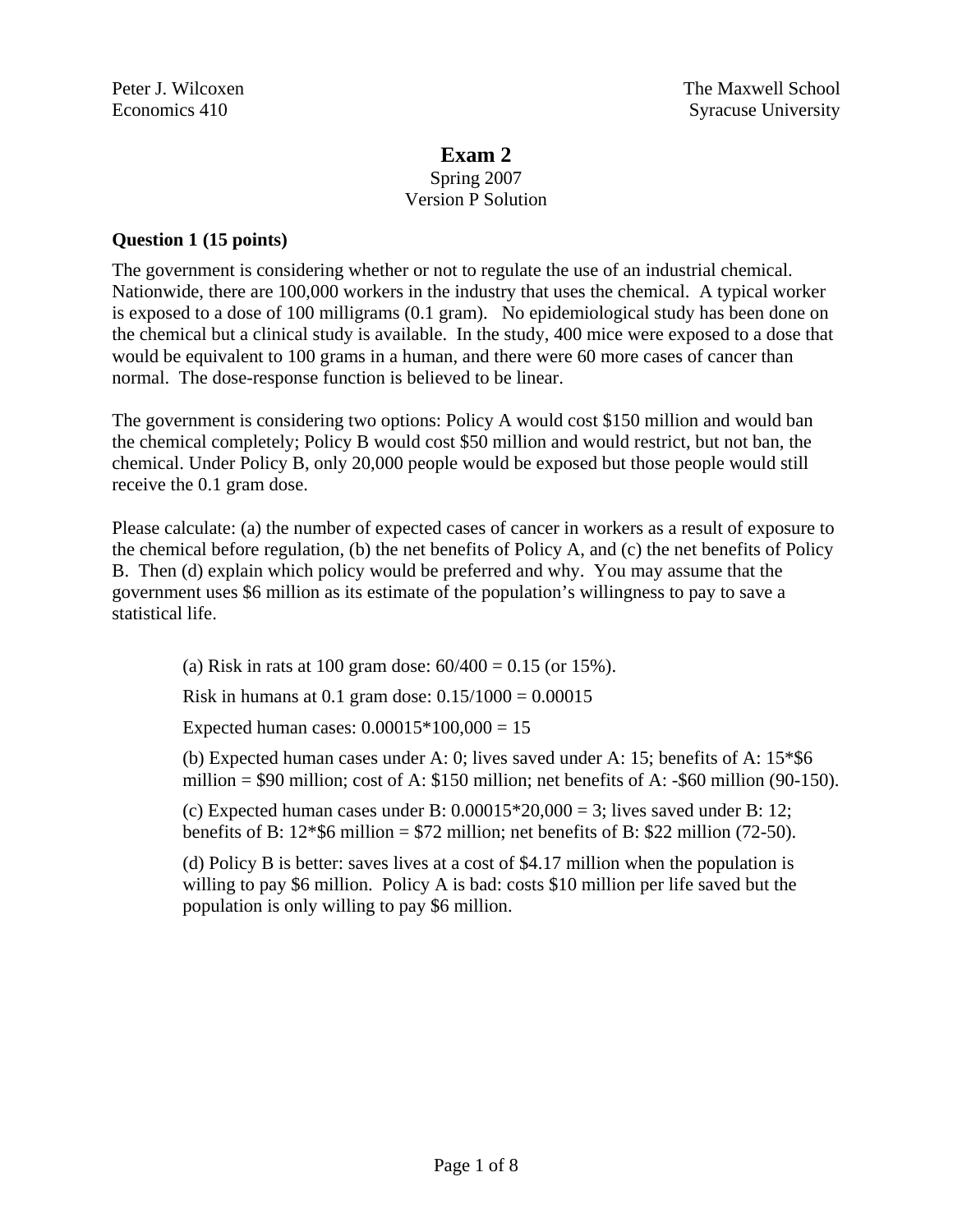# **Exam 2**

#### Spring 2007 Version P Solution

### **Question 1 (15 points)**

The government is considering whether or not to regulate the use of an industrial chemical. Nationwide, there are 100,000 workers in the industry that uses the chemical. A typical worker is exposed to a dose of 100 milligrams (0.1 gram). No epidemiological study has been done on the chemical but a clinical study is available. In the study, 400 mice were exposed to a dose that would be equivalent to 100 grams in a human, and there were 60 more cases of cancer than normal. The dose-response function is believed to be linear.

The government is considering two options: Policy A would cost \$150 million and would ban the chemical completely; Policy B would cost \$50 million and would restrict, but not ban, the chemical. Under Policy B, only 20,000 people would be exposed but those people would still receive the 0.1 gram dose.

Please calculate: (a) the number of expected cases of cancer in workers as a result of exposure to the chemical before regulation, (b) the net benefits of Policy A, and (c) the net benefits of Policy B. Then (d) explain which policy would be preferred and why. You may assume that the government uses \$6 million as its estimate of the population's willingness to pay to save a statistical life.

(a) Risk in rats at 100 gram dose:  $60/400 = 0.15$  (or 15%).

Risk in humans at 0.1 gram dose:  $0.15/1000 = 0.00015$ 

Expected human cases:  $0.00015*100,000 = 15$ 

(b) Expected human cases under A: 0; lives saved under A: 15; benefits of A: 15\*\$6 million = \$90 million; cost of A: \$150 million; net benefits of A: -\$60 million (90-150).

(c) Expected human cases under B:  $0.00015*20,000 = 3$ ; lives saved under B: 12; benefits of B:  $12*$ \$6 million = \$72 million; net benefits of B: \$22 million (72-50).

(d) Policy B is better: saves lives at a cost of \$4.17 million when the population is willing to pay \$6 million. Policy A is bad: costs \$10 million per life saved but the population is only willing to pay \$6 million.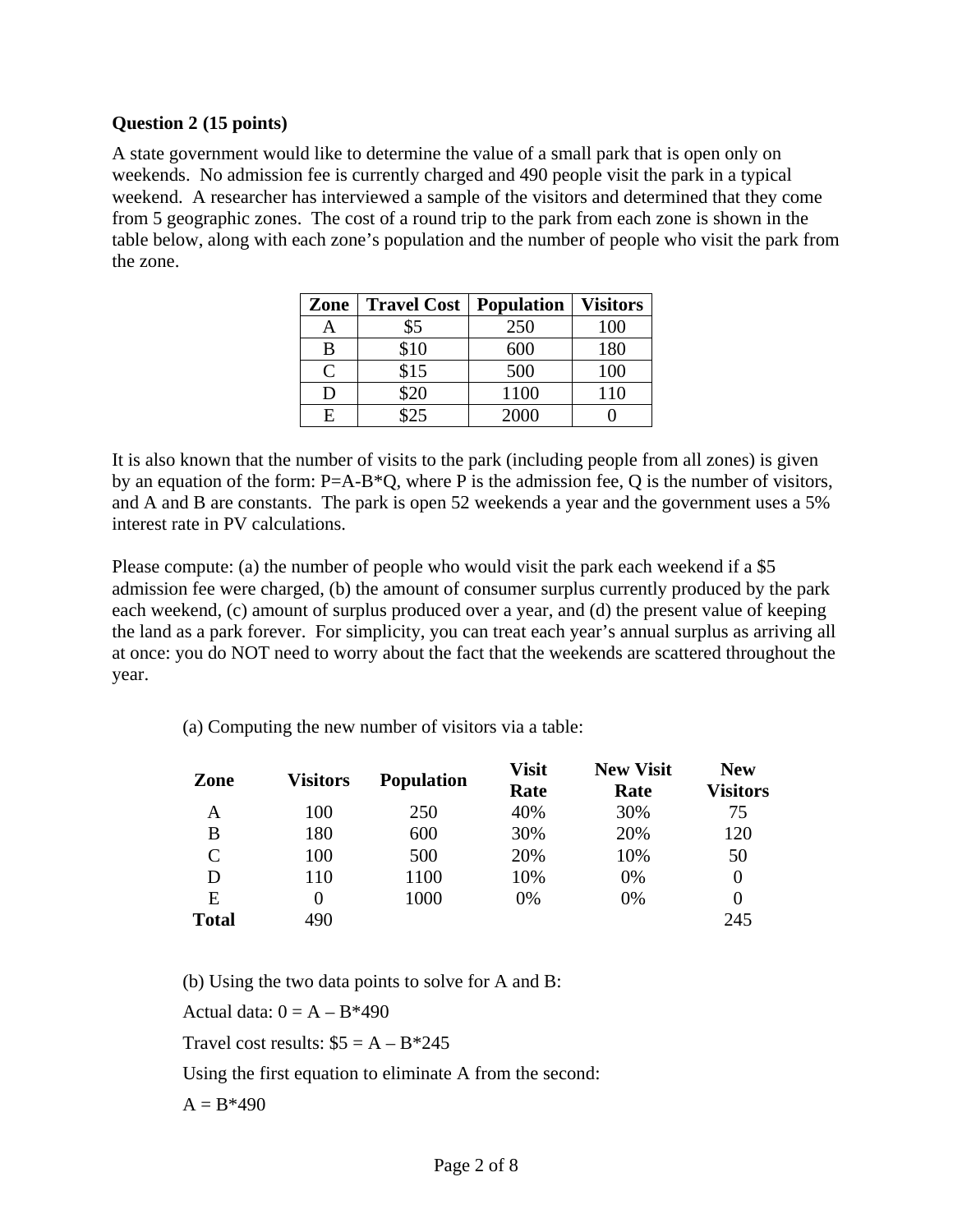#### **Question 2 (15 points)**

A state government would like to determine the value of a small park that is open only on weekends. No admission fee is currently charged and 490 people visit the park in a typical weekend. A researcher has interviewed a sample of the visitors and determined that they come from 5 geographic zones. The cost of a round trip to the park from each zone is shown in the table below, along with each zone's population and the number of people who visit the park from the zone.

| Zone         | <b>Travel Cost</b>    | <b>Population</b> | <b>Visitors</b> |
|--------------|-----------------------|-------------------|-----------------|
| A            | \$5                   | 250               | 100             |
| B            | \$10                  | 600               | 180             |
| $\mathsf{C}$ | \$15                  | 500               | 100             |
| D            | \$20                  | 1100              | 110             |
| F.           | $\uparrow$ $\uparrow$ | 2000              |                 |

It is also known that the number of visits to the park (including people from all zones) is given by an equation of the form: P=A-B\*Q, where P is the admission fee, Q is the number of visitors, and A and B are constants. The park is open 52 weekends a year and the government uses a 5% interest rate in PV calculations.

Please compute: (a) the number of people who would visit the park each weekend if a \$5 admission fee were charged, (b) the amount of consumer surplus currently produced by the park each weekend, (c) amount of surplus produced over a year, and (d) the present value of keeping the land as a park forever. For simplicity, you can treat each year's annual surplus as arriving all at once: you do NOT need to worry about the fact that the weekends are scattered throughout the year.

(a) Computing the new number of visitors via a table:

| Zone         | <b>Visitors</b> | <b>Population</b> | <b>Visit</b><br>Rate | <b>New Visit</b><br>Rate | <b>New</b><br><b>Visitors</b> |
|--------------|-----------------|-------------------|----------------------|--------------------------|-------------------------------|
| A            | 100             | 250               | 40%                  | 30%                      | 75                            |
| В            | 180             | 600               | 30%                  | 20%                      | 120                           |
| $\mathsf{C}$ | 100             | 500               | 20%                  | 10%                      | 50                            |
| D            | 110             | 1100              | 10%                  | $0\%$                    | $\theta$                      |
| E            | 0               | 1000              | 0%                   | 0%                       | $\theta$                      |
| <b>Total</b> | 490             |                   |                      |                          | 245                           |

(b) Using the two data points to solve for A and B: Actual data:  $0 = A - B*490$ Travel cost results:  $$5 = A - B*245$ Using the first equation to eliminate A from the second:  $A = B*490$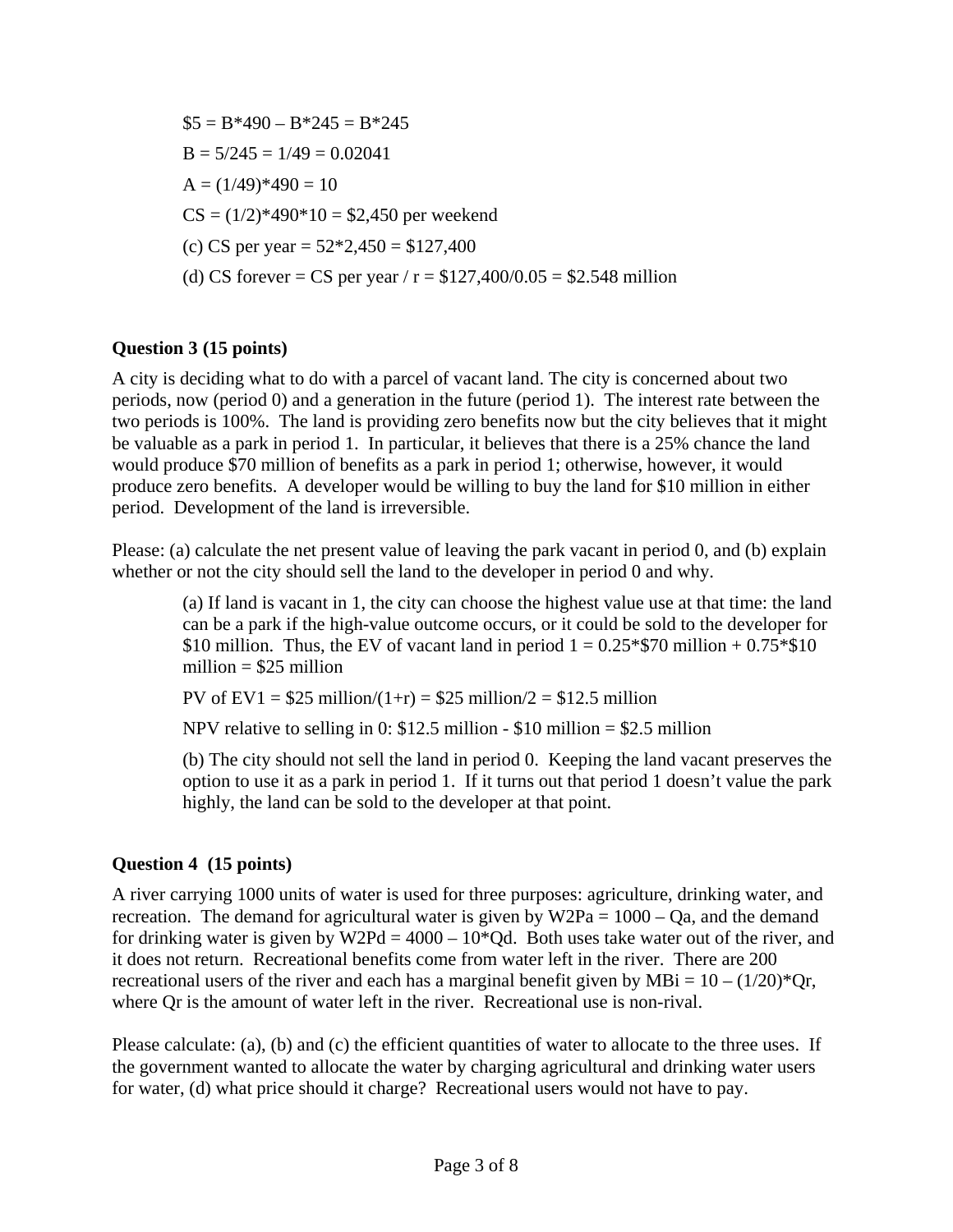$$5 = B*490 - B*245 = B*245$  $B = 5/245 = 1/49 = 0.02041$  $A = (1/49)*490 = 10$  $CS = (1/2)*490*10 = $2,450$  per weekend (c) CS per year =  $52*2,450 = $127,400$ (d) CS forever = CS per year /  $r = $127,400/0.05 = $2.548$  million

## **Question 3 (15 points)**

A city is deciding what to do with a parcel of vacant land. The city is concerned about two periods, now (period 0) and a generation in the future (period 1). The interest rate between the two periods is 100%. The land is providing zero benefits now but the city believes that it might be valuable as a park in period 1. In particular, it believes that there is a 25% chance the land would produce \$70 million of benefits as a park in period 1; otherwise, however, it would produce zero benefits. A developer would be willing to buy the land for \$10 million in either period. Development of the land is irreversible.

Please: (a) calculate the net present value of leaving the park vacant in period 0, and (b) explain whether or not the city should sell the land to the developer in period 0 and why.

(a) If land is vacant in 1, the city can choose the highest value use at that time: the land can be a park if the high-value outcome occurs, or it could be sold to the developer for \$10 million. Thus, the EV of vacant land in period  $1 = 0.25*$70$  million  $+ 0.75*$10$ million  $= $25$  million

PV of EV1 =  $$25$  million/(1+r) =  $$25$  million/2 =  $$12.5$  million

NPV relative to selling in 0:  $$12.5$  million -  $$10$  million =  $$2.5$  million

(b) The city should not sell the land in period 0. Keeping the land vacant preserves the option to use it as a park in period 1. If it turns out that period 1 doesn't value the park highly, the land can be sold to the developer at that point.

#### **Question 4 (15 points)**

A river carrying 1000 units of water is used for three purposes: agriculture, drinking water, and recreation. The demand for agricultural water is given by  $W2Pa = 1000 - Qa$ , and the demand for drinking water is given by W2Pd =  $4000 - 10*$ Qd. Both uses take water out of the river, and it does not return. Recreational benefits come from water left in the river. There are 200 recreational users of the river and each has a marginal benefit given by MBi =  $10 - (1/20)^*$ Or, where Qr is the amount of water left in the river. Recreational use is non-rival.

Please calculate: (a), (b) and (c) the efficient quantities of water to allocate to the three uses. If the government wanted to allocate the water by charging agricultural and drinking water users for water, (d) what price should it charge? Recreational users would not have to pay.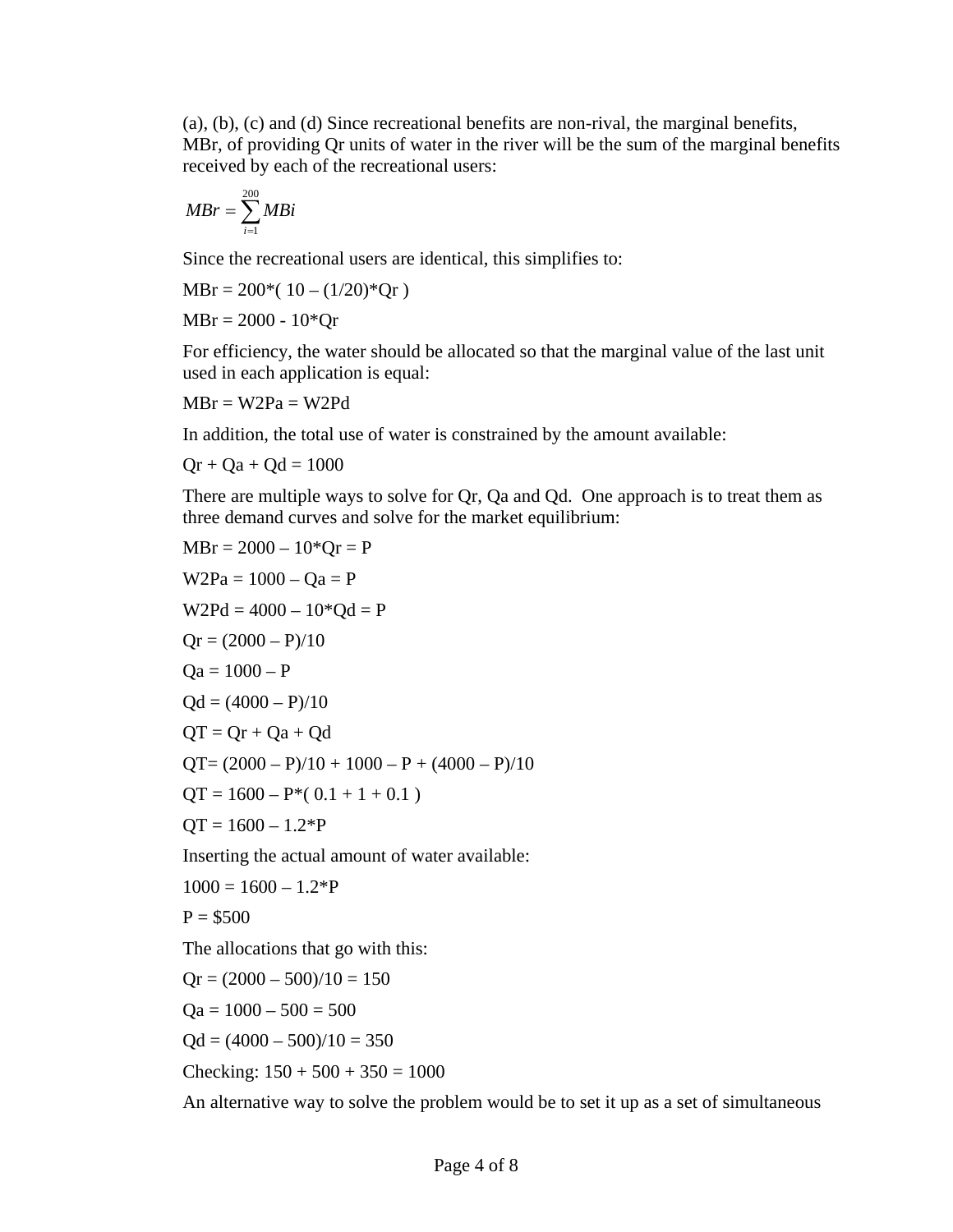(a), (b), (c) and (d) Since recreational benefits are non-rival, the marginal benefits, MBr, of providing Qr units of water in the river will be the sum of the marginal benefits received by each of the recreational users:

$$
MBr = \sum_{i=1}^{200} MBi
$$

Since the recreational users are identical, this simplifies to:

 $MBr = 200*(10 - (1/20)*Qr)$ 

 $MBr = 2000 - 10*Qr$ 

For efficiency, the water should be allocated so that the marginal value of the last unit used in each application is equal:

 $MBr = W2Pa = W2Pd$ 

In addition, the total use of water is constrained by the amount available:

 $Qr + Qa + Qd = 1000$ 

There are multiple ways to solve for Qr, Qa and Qd. One approach is to treat them as three demand curves and solve for the market equilibrium:

MBr = 2000 – 10\*Qr = P W2Pa = 1000 – Qa = P W2Pd = 4000 – 10\*Qd = P Qr = (2000 – P)/10 Qa = 1000 – P Qd = (4000 – P)/10 QT = Qr + Qa + Qd QT= (2000 – P)/10 + 1000 – P + (4000 – P)/10 QT = 1600 – P\*( 0.1 + 1 + 0.1 ) QT = 1600 – 1.2\*P Inserting the actual amount of water available: 1000 = 1600 – 1.2\*P P = \$500

The allocations that go with this:

$$
Qr = (2000 - 500)/10 = 150
$$
  
\n
$$
Qa = 1000 - 500 = 500
$$
  
\n
$$
Qd = (4000 - 500)/10 = 350
$$
  
\nChecking: 150 + 500 + 350 = 1000

An alternative way to solve the problem would be to set it up as a set of simultaneous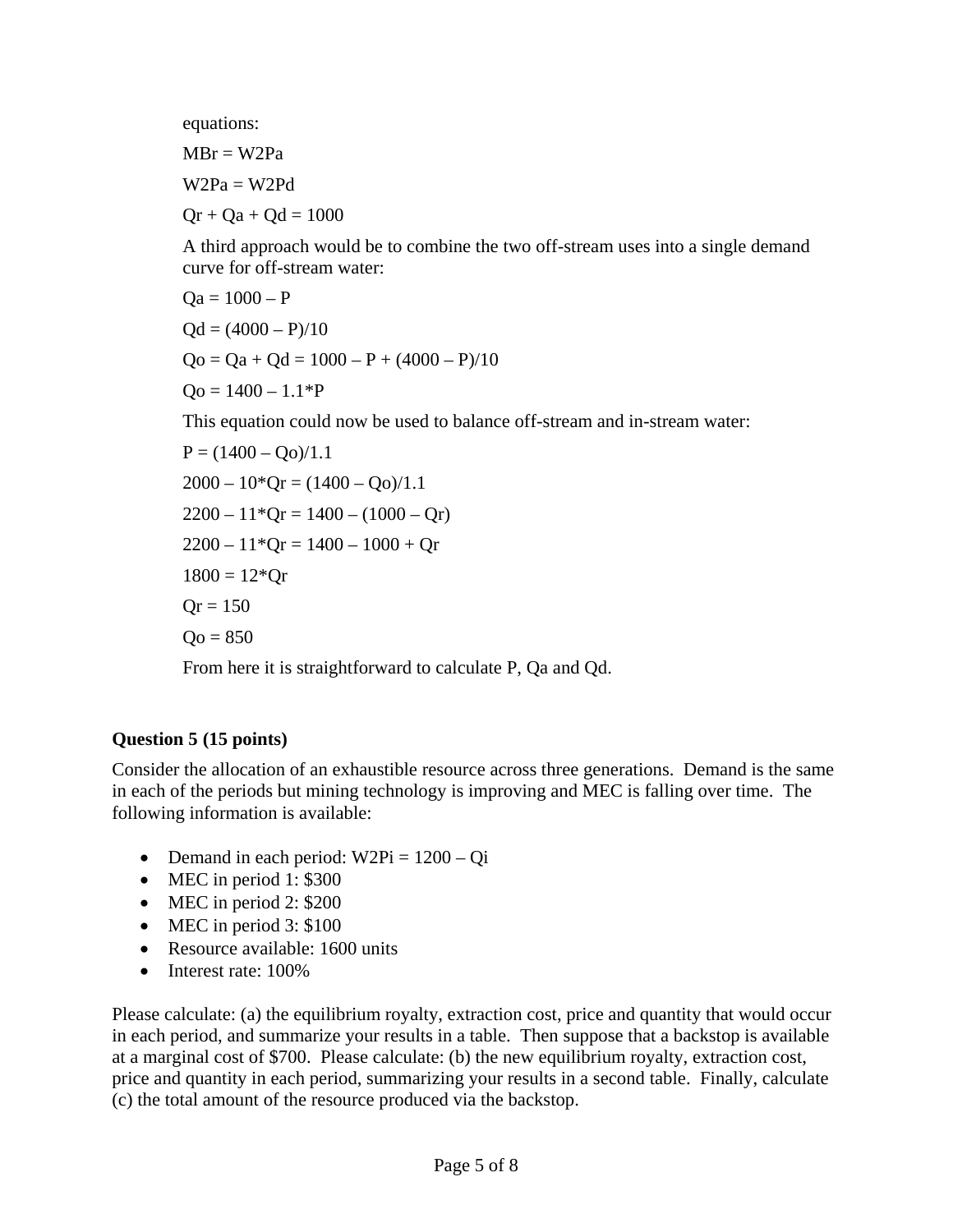equations:

 $MBr = W2Pa$ 

 $W2Pa = W2Pd$ 

 $Or + Oa + Od = 1000$ 

A third approach would be to combine the two off-stream uses into a single demand curve for off-stream water:

$$
Qa = 1000 - P
$$
  
Qd = (4000 – P)/10  
Qo = Qa + Qd = 1000 – P + (4000 – P)/10  
Qo = 1400 – 1.1\*P

This equation could now be used to balance off-stream and in-stream water:

$$
P = (1400 - Qo)/1.1
$$
  
\n
$$
2000 - 10*Qr = (1400 - Qo)/1.1
$$
  
\n
$$
2200 - 11*Qr = 1400 - (1000 - Qr)
$$
  
\n
$$
2200 - 11*Qr = 1400 - 1000 + Qr
$$
  
\n
$$
1800 = 12*Qr
$$
  
\n
$$
Qr = 150
$$
  
\n
$$
Qo = 850
$$

From here it is straightforward to calculate P, Qa and Qd.

#### **Question 5 (15 points)**

Consider the allocation of an exhaustible resource across three generations. Demand is the same in each of the periods but mining technology is improving and MEC is falling over time. The following information is available:

- Demand in each period:  $W2Pi = 1200 Qi$
- MEC in period 1: \$300
- MEC in period 2: \$200
- MEC in period 3: \$100
- Resource available: 1600 units
- Interest rate: 100%

Please calculate: (a) the equilibrium royalty, extraction cost, price and quantity that would occur in each period, and summarize your results in a table. Then suppose that a backstop is available at a marginal cost of \$700. Please calculate: (b) the new equilibrium royalty, extraction cost, price and quantity in each period, summarizing your results in a second table. Finally, calculate (c) the total amount of the resource produced via the backstop.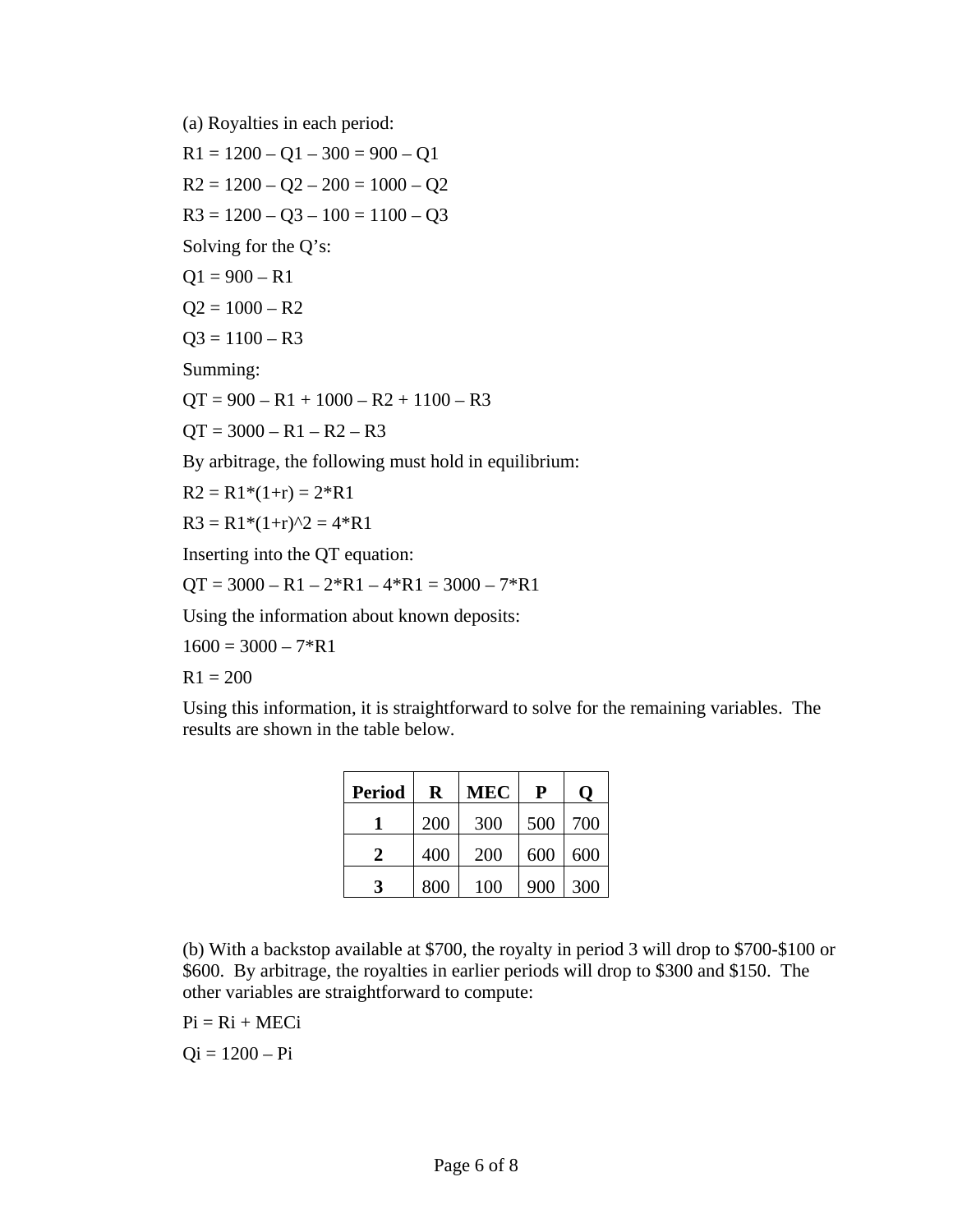(a) Royalties in each period:

 $R1 = 1200 - Q1 - 300 = 900 - Q1$  $R2 = 1200 - Q2 - 200 = 1000 - Q2$  $R3 = 1200 - Q3 - 100 = 1100 - Q3$ Solving for the Q's:

 $Q1 = 900 - R1$ 

$$
Q2 = 1000 - R2
$$

$$
Q3 = 1100 - R3
$$

Summing:

 $QT = 900 - R1 + 1000 - R2 + 1100 - R3$ 

 $QT = 3000 - R1 - R2 - R3$ 

By arbitrage, the following must hold in equilibrium:

 $R2 = R1*(1+r) = 2*R1$ 

 $R3 = R1*(1+r)^2 = 4*R1$ 

Inserting into the QT equation:

 $QT = 3000 - R1 - 2*R1 - 4*R1 = 3000 - 7*R1$ 

Using the information about known deposits:

 $1600 = 3000 - 7*R1$ 

 $R1 = 200$ 

Using this information, it is straightforward to solve for the remaining variables. The results are shown in the table below.

| <b>Period</b> | R   | MEC | P   | 0   |
|---------------|-----|-----|-----|-----|
|               | 200 | 300 | 500 | 700 |
| 2             | 400 | 200 | 600 | 600 |
| 3             | 800 | 100 | 900 | 300 |

(b) With a backstop available at \$700, the royalty in period 3 will drop to \$700-\$100 or \$600. By arbitrage, the royalties in earlier periods will drop to \$300 and \$150. The other variables are straightforward to compute:

 $Pi = Ri + MECi$ 

 $Qi = 1200 - Pi$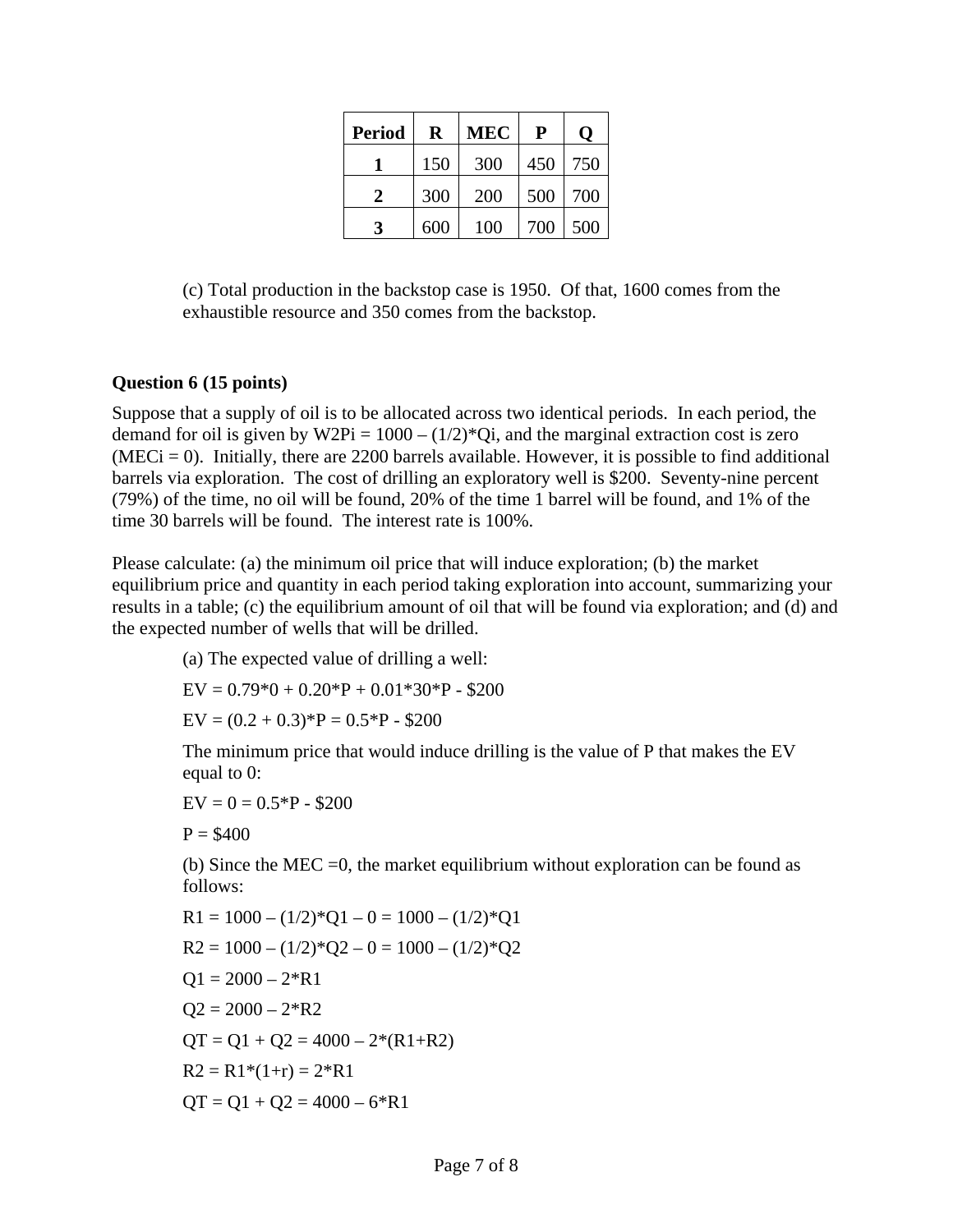| <b>Period</b> | $\mathbf R$ | MEC | P   |     |
|---------------|-------------|-----|-----|-----|
|               | 150         | 300 | 450 | 750 |
| 2.            | 300         | 200 | 500 | 700 |
| 3             | 600         | 100 | 700 | 500 |

(c) Total production in the backstop case is 1950. Of that, 1600 comes from the exhaustible resource and 350 comes from the backstop.

#### **Question 6 (15 points)**

Suppose that a supply of oil is to be allocated across two identical periods. In each period, the demand for oil is given by W2Pi =  $1000 - (1/2)*Q$ i, and the marginal extraction cost is zero  $(MECi = 0)$ . Initially, there are 2200 barrels available. However, it is possible to find additional barrels via exploration. The cost of drilling an exploratory well is \$200. Seventy-nine percent (79%) of the time, no oil will be found, 20% of the time 1 barrel will be found, and 1% of the time 30 barrels will be found. The interest rate is 100%.

Please calculate: (a) the minimum oil price that will induce exploration; (b) the market equilibrium price and quantity in each period taking exploration into account, summarizing your results in a table; (c) the equilibrium amount of oil that will be found via exploration; and (d) and the expected number of wells that will be drilled.

(a) The expected value of drilling a well:  $EV = 0.79*0 + 0.20*P + 0.01*30*P - $200$  $EV = (0.2 + 0.3)*P = 0.5*P - $200$ 

The minimum price that would induce drilling is the value of P that makes the EV equal to 0:

 $EV = 0 = 0.5*P - $200$ 

 $P = $400$ 

(b) Since the MEC =0, the market equilibrium without exploration can be found as follows:

$$
R1 = 1000 - (1/2)*Q1 - 0 = 1000 - (1/2)*Q1
$$
  
\n
$$
R2 = 1000 - (1/2)*Q2 - 0 = 1000 - (1/2)*Q2
$$
  
\n
$$
Q1 = 2000 - 2*R1
$$
  
\n
$$
Q2 = 2000 - 2*R2
$$
  
\n
$$
QT = Q1 + Q2 = 4000 - 2*(R1+R2)
$$
  
\n
$$
R2 = R1*(1+r) = 2*R1
$$
  
\n
$$
QT = Q1 + Q2 = 4000 - 6*R1
$$